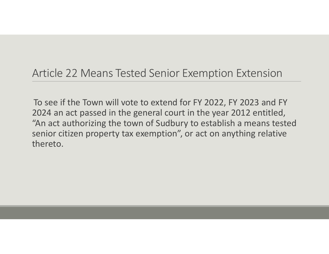## Article 22 Means Tested Senior Exemption Extension

To see if the Town will vote to extend for FY 2022, FY 2023 and FY 2024 an act passed in the general court in the year 2012 entitled, "An act authorizing the town of Sudbury to establish <sup>a</sup> means tested senior citizen property tax exemption", or act on anything relative thereto.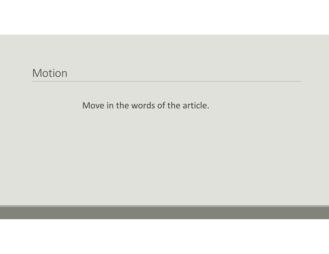### Motion

Move in the words of the article.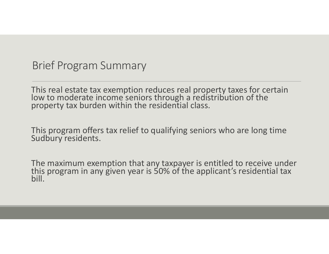### Brief Program Summary

This real estate tax exemption reduces real property taxes for certain<br>low to moderate income seniors through a redistribution of the to moderate income seniors through <sup>a</sup> redistribution of the property tax burden within the residential class.

This program offers tax relief to qualifying seniors who are long time<br>Sudbury residents.

The maximum exemption that any taxpayer is entitled to receive under<br>this program in any given year is 50% of the applicant's residential tax this program in any given year is 50% of the applicant's residential tax bill.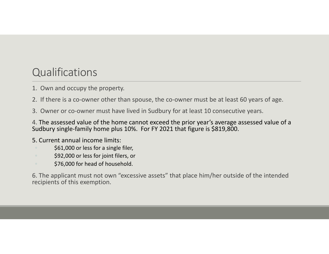# **Qualifications**

- 1. Own and occupy the property.
- 2. If there is <sup>a</sup> co‐owner other than spouse, the co‐owner must be at least 60 years of age.
- 3. Owner or co‐owner must have lived in Sudbury for at least 10 consecutive years.

4. The assessed value of the home cannot exceed the prior year's average assessed value of <sup>a</sup> Sudbury single‐family home plus 10%. For FY 2021 that figure is \$819,800.

- 5. Current annual income limits:
- \$61,000 or less for <sup>a</sup> single filer,
- \$92,000 or less for joint filers, or
- \$76,000 for head of household.

6. The applicant must not own "excessive assets" that place him/her outside of the intended recipients of this exemption.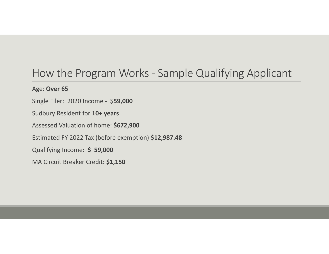## How the Program Works ‐ Sample Qualifying Applicant

#### Age: **Over 65**

Single Filer: 2020 Income ‐ \$**59,000**

Sudbury Resident for **10+ years**

Assessed Valuation of home: **\$672,900**

Estimated FY 2022 Tax (before exemption) **\$12,987.48**

Qualifying Income**: \$ 59,000**

MA Circuit Breaker Credit**: \$1,150**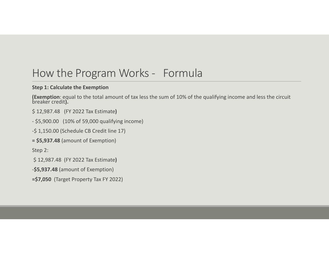## How the Program Works ‐ Formula

#### **Step 1: Calculate the Exemption**

**(Exemption**: equal to the total amount of tax less the sum of 10% of the qualifying income and less the circuit<br>breaker credit**).** 

\$ 12,987.48 (FY 2022 Tax Estimate**)**

‐ \$5,900.00 (10% of 59,000 qualifying income)

‐\$ 1,150.00 (Schedule CB Credit line 17)

**= \$5,937.48** (amount of Exemption)

Step 2:

\$ 12,987.48 (FY 2022 Tax Estimate**)**

‐**\$5,937.48** (amount of Exemption)

**=\$7,050** (Target Property Tax FY 2022)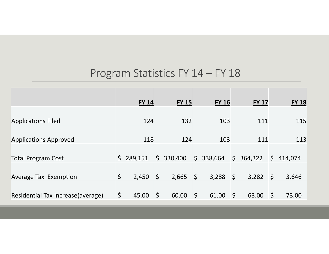# Program Statistics FY 14 – FY 18

|                                    | <b>FY 14</b> |            | <b>FY 15</b> |                         | <b>FY 16</b> |            | <b>FY 17</b> |            | <b>FY 18</b> |
|------------------------------------|--------------|------------|--------------|-------------------------|--------------|------------|--------------|------------|--------------|
|                                    |              |            |              |                         |              |            |              |            |              |
| <b>Applications Filed</b>          | 124          |            | 132          |                         | 103          |            | 111          |            | 115          |
|                                    |              |            |              |                         |              |            |              |            |              |
| <b>Applications Approved</b>       | 118          |            | 124          |                         | 103          |            | 111          |            | 113          |
|                                    |              |            |              |                         |              |            |              |            |              |
| <b>Total Program Cost</b>          | \$289,151    |            | \$330,400    |                         | \$338,664    |            | \$364,322    |            | \$414,074    |
|                                    |              |            |              |                         |              |            |              |            |              |
| <b>Average Tax Exemption</b>       | \$<br>2,450  | $\sqrt{5}$ | $2,665$ \$   |                         | $3,288$ \$   |            | 3,282        | $\sqrt{5}$ | 3,646        |
|                                    |              |            |              |                         |              |            |              |            |              |
| Residential Tax Increase (average) | \$<br>45.00  | $\zeta$    | 60.00        | $\overline{\mathsf{S}}$ | 61.00        | $\sqrt{5}$ | 63.00        | $\zeta$    | 73.00        |